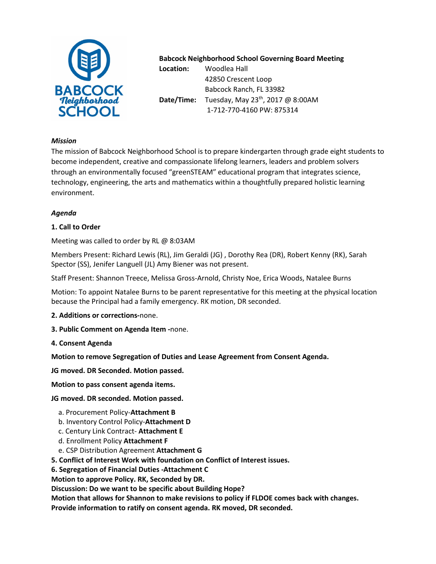

# **Babcock Neighborhood School Governing Board Meeting**

**Location:** Woodlea Hall 42850 Crescent Loop Babcock Ranch, FL 33982 **Date/Time:** Tuesday, May 23<sup>th</sup>, 2017 @ 8:00AM 1-712-770-4160 PW: 875314

## *Mission*

The mission of Babcock Neighborhood School is to prepare kindergarten through grade eight students to become independent, creative and compassionate lifelong learners, leaders and problem solvers through an environmentally focused "greenSTEAM" educational program that integrates science, technology, engineering, the arts and mathematics within a thoughtfully prepared holistic learning environment.

## *Agenda*

## **1. Call to Order**

Meeting was called to order by RL @ 8:03AM

Members Present: Richard Lewis (RL), Jim Geraldi (JG) , Dorothy Rea (DR), Robert Kenny (RK), Sarah Spector (SS), Jenifer Languell (JL) Amy Biener was not present.

Staff Present: Shannon Treece, Melissa Gross-Arnold, Christy Noe, Erica Woods, Natalee Burns

Motion: To appoint Natalee Burns to be parent representative for this meeting at the physical location because the Principal had a family emergency. RK motion, DR seconded.

- **2. Additions or corrections-**none.
- **3. Public Comment on Agenda Item -**none.
- **4. Consent Agenda**

**Motion to remove Segregation of Duties and Lease Agreement from Consent Agenda.**

**JG moved. DR Seconded. Motion passed.** 

**Motion to pass consent agenda items.** 

**JG moved. DR seconded. Motion passed.** 

- a. Procurement Policy-**Attachment B**
- b. Inventory Control Policy-**Attachment D**
- c. Century Link Contract- **Attachment E**
- d. Enrollment Policy **Attachment F**
- e. CSP Distribution Agreement **Attachment G**
- **5. Conflict of Interest Work with foundation on Conflict of Interest issues.**

**6. Segregation of Financial Duties -Attachment C** 

**Motion to approve Policy. RK, Seconded by DR.** 

**Discussion: Do we want to be specific about Building Hope?** 

**Motion that allows for Shannon to make revisions to policy if FLDOE comes back with changes.** 

**Provide information to ratify on consent agenda. RK moved, DR seconded.**